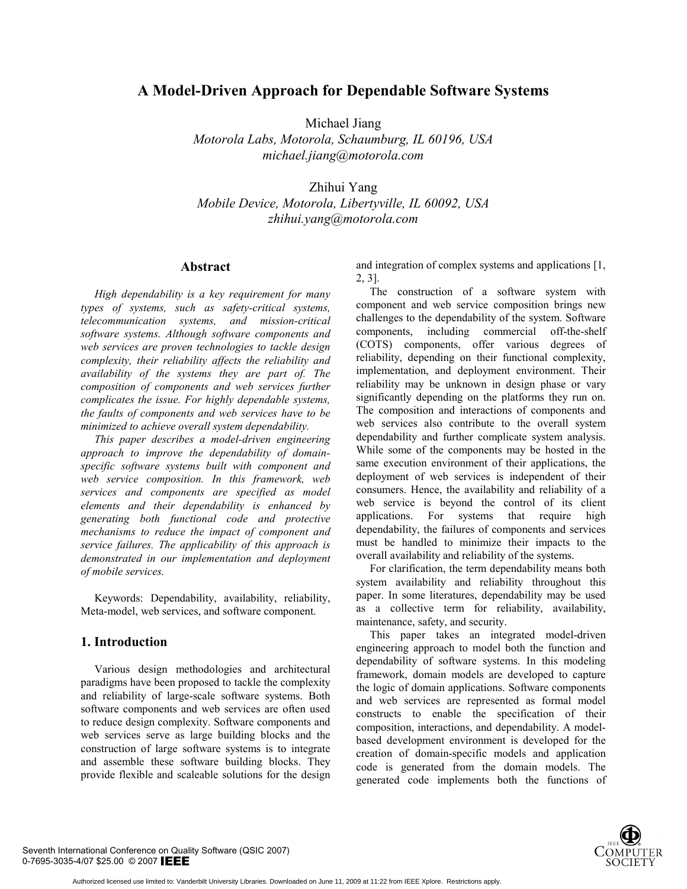# A Model-Driven Approach for Dependable Software Systems

Michael Jiang

Motorola Labs, Motorola, Schaumburg, IL 60196, USA michael.jiang@motorola.com

Zhihui Yang

Mobile Device, Motorola, Libertyville, IL 60092, USA zhihui.yang@motorola.com

#### Abstract

High dependability is a key requirement for many types of systems, such as safety-critical systems, telecommunication systems, and mission-critical software systems. Although software components and web services are proven technologies to tackle design complexity, their reliability affects the reliability and availability of the systems they are part of. The composition of components and web services further complicates the issue. For highly dependable systems, the faults of components and web services have to be minimized to achieve overall system dependability.

This paper describes a model-driven engineering approach to improve the dependability of domainspecific software systems built with component and web service composition. In this framework, web services and components are specified as model elements and their dependability is enhanced by generating both functional code and protective mechanisms to reduce the impact of component and service failures. The applicability of this approach is demonstrated in our implementation and deployment of mobile services.

Keywords: Dependability, availability, reliability, Meta-model, web services, and software component.

#### 1. Introduction

Various design methodologies and architectural paradigms have been proposed to tackle the complexity and reliability of large-scale software systems. Both software components and web services are often used to reduce design complexity. Software components and web services serve as large building blocks and the construction of large software systems is to integrate and assemble these software building blocks. They provide flexible and scaleable solutions for the design

and integration of complex systems and applications [1, 2, 3].

The construction of a software system with component and web service composition brings new challenges to the dependability of the system. Software components, including commercial off-the-shelf (COTS) components, offer various degrees of reliability, depending on their functional complexity, implementation, and deployment environment. Their reliability may be unknown in design phase or vary significantly depending on the platforms they run on. The composition and interactions of components and web services also contribute to the overall system dependability and further complicate system analysis. While some of the components may be hosted in the same execution environment of their applications, the deployment of web services is independent of their consumers. Hence, the availability and reliability of a web service is beyond the control of its client applications. For systems that require high dependability, the failures of components and services must be handled to minimize their impacts to the overall availability and reliability of the systems.

For clarification, the term dependability means both system availability and reliability throughout this paper. In some literatures, dependability may be used as a collective term for reliability, availability, maintenance, safety, and security.

This paper takes an integrated model-driven engineering approach to model both the function and dependability of software systems. In this modeling framework, domain models are developed to capture the logic of domain applications. Software components and web services are represented as formal model constructs to enable the specification of their composition, interactions, and dependability. A modelbased development environment is developed for the creation of domain-specific models and application code is generated from the domain models. The generated code implements both the functions of

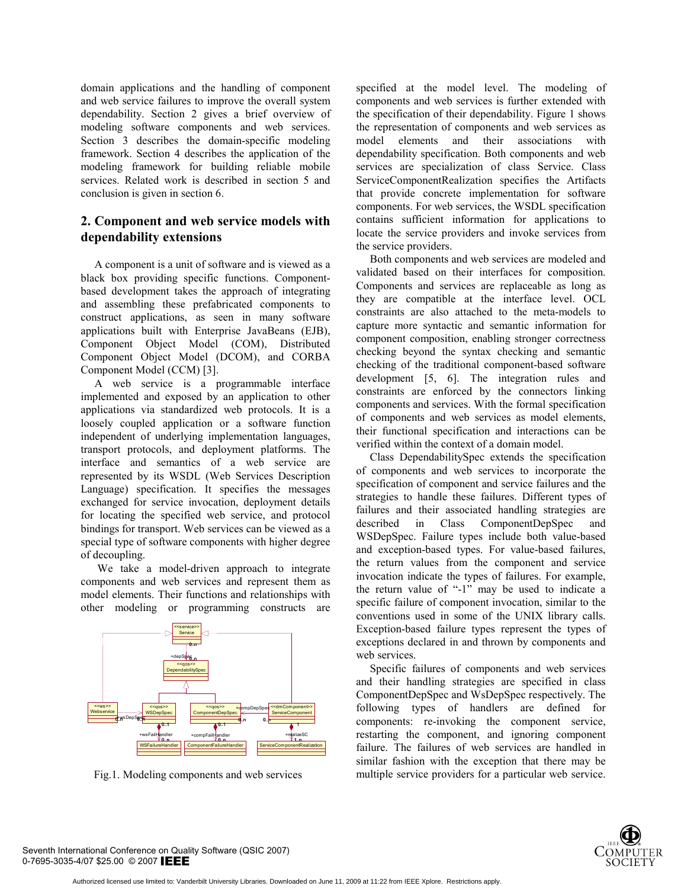domain applications and the handling of component and web service failures to improve the overall system dependability. Section 2 gives a brief overview of modeling software components and web services. Section 3 describes the domain-specific modeling framework. Section 4 describes the application of the modeling framework for building reliable mobile services. Related work is described in section 5 and conclusion is given in section 6.

## 2. Component and web service models with dependability extensions

A component is a unit of software and is viewed as a black box providing specific functions. Componentbased development takes the approach of integrating and assembling these prefabricated components to construct applications, as seen in many software applications built with Enterprise JavaBeans (EJB), Component Object Model (COM), Distributed Component Object Model (DCOM), and CORBA Component Model (CCM) [3].

A web service is a programmable interface implemented and exposed by an application to other applications via standardized web protocols. It is a loosely coupled application or a software function independent of underlying implementation languages, transport protocols, and deployment platforms. The interface and semantics of a web service are represented by its WSDL (Web Services Description Language) specification. It specifies the messages exchanged for service invocation, deployment details for locating the specified web service, and protocol bindings for transport. Web services can be viewed as a special type of software components with higher degree of decoupling.

 We take a model-driven approach to integrate components and web services and represent them as model elements. Their functions and relationships with other modeling or programming constructs are



specified at the model level. The modeling of components and web services is further extended with the specification of their dependability. Figure 1 shows the representation of components and web services as model elements and their associations with dependability specification. Both components and web services are specialization of class Service. Class ServiceComponentRealization specifies the Artifacts that provide concrete implementation for software components. For web services, the WSDL specification contains sufficient information for applications to locate the service providers and invoke services from the service providers.

Both components and web services are modeled and validated based on their interfaces for composition. Components and services are replaceable as long as they are compatible at the interface level. OCL constraints are also attached to the meta-models to capture more syntactic and semantic information for component composition, enabling stronger correctness checking beyond the syntax checking and semantic checking of the traditional component-based software development [5, 6]. The integration rules and constraints are enforced by the connectors linking components and services. With the formal specification of components and web services as model elements, their functional specification and interactions can be verified within the context of a domain model.

Class DependabilitySpec extends the specification of components and web services to incorporate the specification of component and service failures and the strategies to handle these failures. Different types of failures and their associated handling strategies are described in Class ComponentDepSpec and WSDepSpec. Failure types include both value-based and exception-based types. For value-based failures, the return values from the component and service invocation indicate the types of failures. For example, the return value of "-1" may be used to indicate a specific failure of component invocation, similar to the conventions used in some of the UNIX library calls. Exception-based failure types represent the types of exceptions declared in and thrown by components and web services.

Specific failures of components and web services and their handling strategies are specified in class ComponentDepSpec and WsDepSpec respectively. The following types of handlers are defined for components: re-invoking the component service, restarting the component, and ignoring component failure. The failures of web services are handled in similar fashion with the exception that there may be Fig.1. Modeling components and web services multiple service providers for a particular web service.

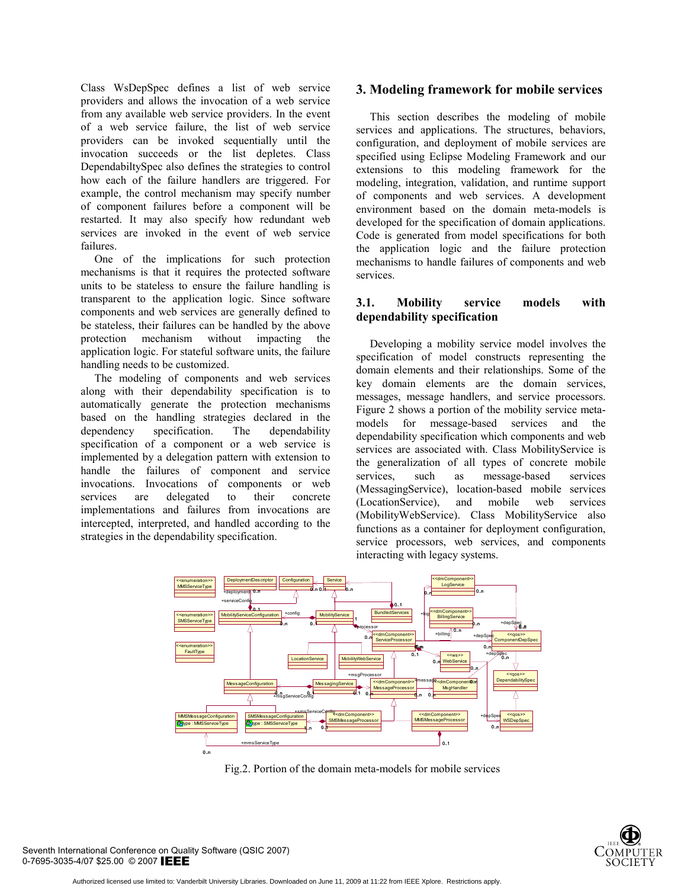Class WsDepSpec defines a list of web service providers and allows the invocation of a web service from any available web service providers. In the event of a web service failure, the list of web service providers can be invoked sequentially until the invocation succeeds or the list depletes. Class DependabiltySpec also defines the strategies to control how each of the failure handlers are triggered. For example, the control mechanism may specify number of component failures before a component will be restarted. It may also specify how redundant web services are invoked in the event of web service failures.

One of the implications for such protection mechanisms is that it requires the protected software units to be stateless to ensure the failure handling is transparent to the application logic. Since software components and web services are generally defined to be stateless, their failures can be handled by the above protection mechanism without impacting the application logic. For stateful software units, the failure handling needs to be customized.

The modeling of components and web services along with their dependability specification is to automatically generate the protection mechanisms based on the handling strategies declared in the dependency specification. The dependability specification of a component or a web service is implemented by a delegation pattern with extension to handle the failures of component and service invocations. Invocations of components or web services are delegated to their concrete implementations and failures from invocations are intercepted, interpreted, and handled according to the strategies in the dependability specification.

## 3. Modeling framework for mobile services

This section describes the modeling of mobile services and applications. The structures, behaviors, configuration, and deployment of mobile services are specified using Eclipse Modeling Framework and our extensions to this modeling framework for the modeling, integration, validation, and runtime support of components and web services. A development environment based on the domain meta-models is developed for the specification of domain applications. Code is generated from model specifications for both the application logic and the failure protection mechanisms to handle failures of components and web services.

## 3.1. Mobility service models with dependability specification

Developing a mobility service model involves the specification of model constructs representing the domain elements and their relationships. Some of the key domain elements are the domain services, messages, message handlers, and service processors. Figure 2 shows a portion of the mobility service metamodels for message-based services and the dependability specification which components and web services are associated with. Class MobilityService is the generalization of all types of concrete mobile services, such as message-based services (MessagingService), location-based mobile services (LocationService), and mobile web services (MobilityWebService). Class MobilityService also functions as a container for deployment configuration, service processors, web services, and components interacting with legacy systems.



Fig.2. Portion of the domain meta-models for mobile services

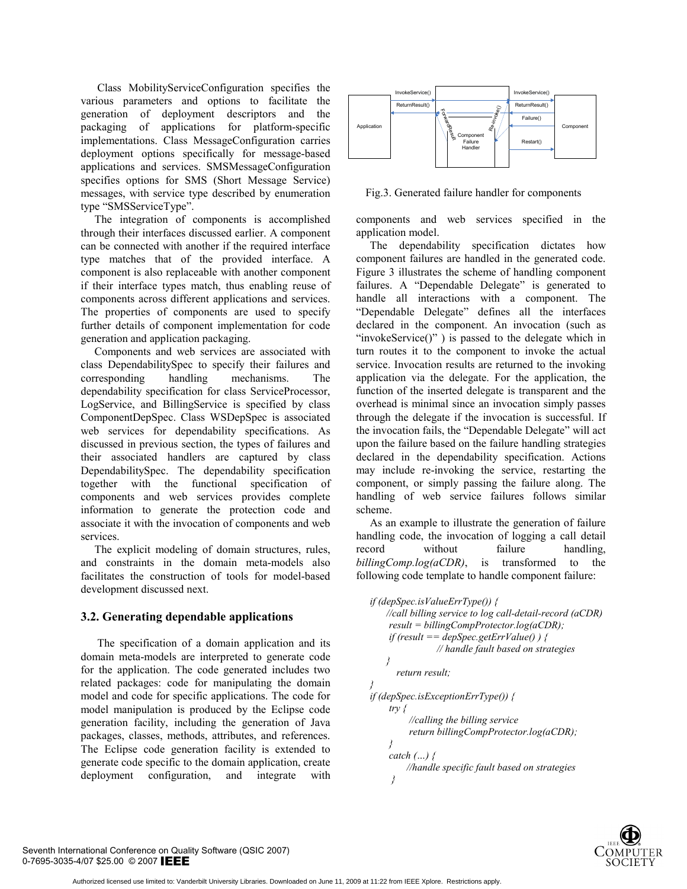Class MobilityServiceConfiguration specifies the various parameters and options to facilitate the generation of deployment descriptors and the packaging of applications for platform-specific implementations. Class MessageConfiguration carries deployment options specifically for message-based applications and services. SMSMessageConfiguration specifies options for SMS (Short Message Service) messages, with service type described by enumeration type "SMSServiceType".

The integration of components is accomplished through their interfaces discussed earlier. A component can be connected with another if the required interface type matches that of the provided interface. A component is also replaceable with another component if their interface types match, thus enabling reuse of components across different applications and services. The properties of components are used to specify further details of component implementation for code generation and application packaging.

Components and web services are associated with class DependabilitySpec to specify their failures and corresponding handling mechanisms. The dependability specification for class ServiceProcessor, LogService, and BillingService is specified by class ComponentDepSpec. Class WSDepSpec is associated web services for dependability specifications. As discussed in previous section, the types of failures and their associated handlers are captured by class DependabilitySpec. The dependability specification together with the functional specification of components and web services provides complete information to generate the protection code and associate it with the invocation of components and web services.

The explicit modeling of domain structures, rules, and constraints in the domain meta-models also facilitates the construction of tools for model-based development discussed next.

#### 3.2. Generating dependable applications

 The specification of a domain application and its domain meta-models are interpreted to generate code for the application. The code generated includes two related packages: code for manipulating the domain model and code for specific applications. The code for model manipulation is produced by the Eclipse code generation facility, including the generation of Java packages, classes, methods, attributes, and references. The Eclipse code generation facility is extended to generate code specific to the domain application, create deployment configuration, and integrate with



Fig.3. Generated failure handler for components

components and web services specified in the application model.

The dependability specification dictates how component failures are handled in the generated code. Figure 3 illustrates the scheme of handling component failures. A "Dependable Delegate" is generated to handle all interactions with a component. The "Dependable Delegate" defines all the interfaces declared in the component. An invocation (such as "invokeService $()$ " ) is passed to the delegate which in turn routes it to the component to invoke the actual service. Invocation results are returned to the invoking application via the delegate. For the application, the function of the inserted delegate is transparent and the overhead is minimal since an invocation simply passes through the delegate if the invocation is successful. If the invocation fails, the "Dependable Delegate" will act upon the failure based on the failure handling strategies declared in the dependability specification. Actions may include re-invoking the service, restarting the component, or simply passing the failure along. The handling of web service failures follows similar scheme.

As an example to illustrate the generation of failure handling code, the invocation of logging a call detail record without failure handling,  $billingComp.log(aCDR)$ , is transformed to the following code template to handle component failure:



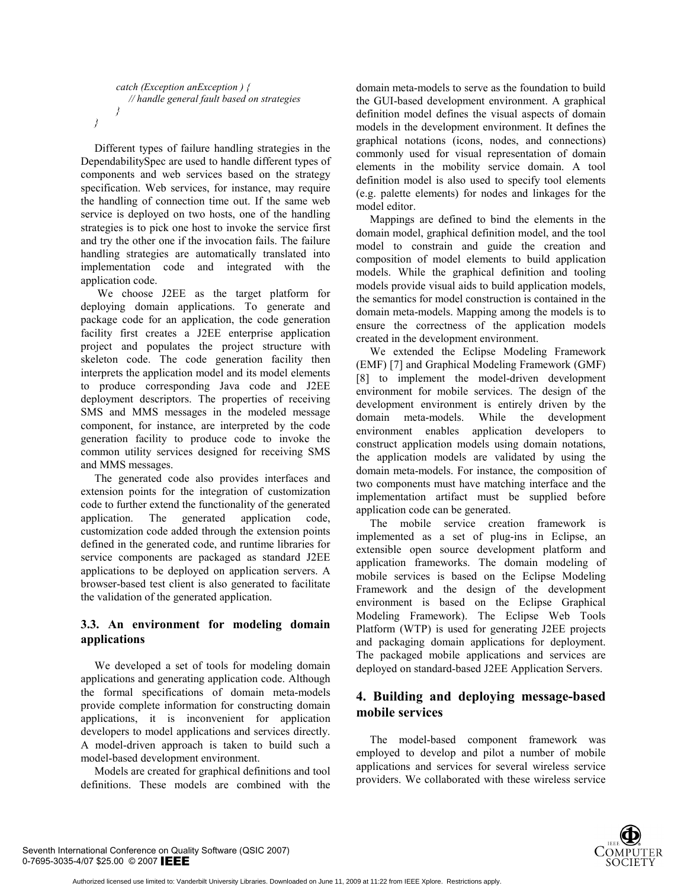```
catch (Exception anException ) { 
          // handle general fault based on strategies 
     } 
}
```
Different types of failure handling strategies in the DependabilitySpec are used to handle different types of components and web services based on the strategy specification. Web services, for instance, may require the handling of connection time out. If the same web service is deployed on two hosts, one of the handling strategies is to pick one host to invoke the service first and try the other one if the invocation fails. The failure handling strategies are automatically translated into implementation code and integrated with the application code.

 We choose J2EE as the target platform for deploying domain applications. To generate and package code for an application, the code generation facility first creates a J2EE enterprise application project and populates the project structure with skeleton code. The code generation facility then interprets the application model and its model elements to produce corresponding Java code and J2EE deployment descriptors. The properties of receiving SMS and MMS messages in the modeled message component, for instance, are interpreted by the code generation facility to produce code to invoke the common utility services designed for receiving SMS and MMS messages.

The generated code also provides interfaces and extension points for the integration of customization code to further extend the functionality of the generated application. The generated application code, customization code added through the extension points defined in the generated code, and runtime libraries for service components are packaged as standard J2EE applications to be deployed on application servers. A browser-based test client is also generated to facilitate the validation of the generated application.

## 3.3. An environment for modeling domain applications

We developed a set of tools for modeling domain applications and generating application code. Although the formal specifications of domain meta-models provide complete information for constructing domain applications, it is inconvenient for application developers to model applications and services directly. A model-driven approach is taken to build such a model-based development environment.

Models are created for graphical definitions and tool definitions. These models are combined with the domain meta-models to serve as the foundation to build the GUI-based development environment. A graphical definition model defines the visual aspects of domain models in the development environment. It defines the graphical notations (icons, nodes, and connections) commonly used for visual representation of domain elements in the mobility service domain. A tool definition model is also used to specify tool elements (e.g. palette elements) for nodes and linkages for the model editor.

Mappings are defined to bind the elements in the domain model, graphical definition model, and the tool model to constrain and guide the creation and composition of model elements to build application models. While the graphical definition and tooling models provide visual aids to build application models, the semantics for model construction is contained in the domain meta-models. Mapping among the models is to ensure the correctness of the application models created in the development environment.

We extended the Eclipse Modeling Framework (EMF) [7] and Graphical Modeling Framework (GMF) [8] to implement the model-driven development environment for mobile services. The design of the development environment is entirely driven by the domain meta-models. While the development environment enables application developers to construct application models using domain notations, the application models are validated by using the domain meta-models. For instance, the composition of two components must have matching interface and the implementation artifact must be supplied before application code can be generated.

The mobile service creation framework is implemented as a set of plug-ins in Eclipse, an extensible open source development platform and application frameworks. The domain modeling of mobile services is based on the Eclipse Modeling Framework and the design of the development environment is based on the Eclipse Graphical Modeling Framework). The Eclipse Web Tools Platform (WTP) is used for generating J2EE projects and packaging domain applications for deployment. The packaged mobile applications and services are deployed on standard-based J2EE Application Servers.

## 4. Building and deploying message-based mobile services

The model-based component framework was employed to develop and pilot a number of mobile applications and services for several wireless service providers. We collaborated with these wireless service

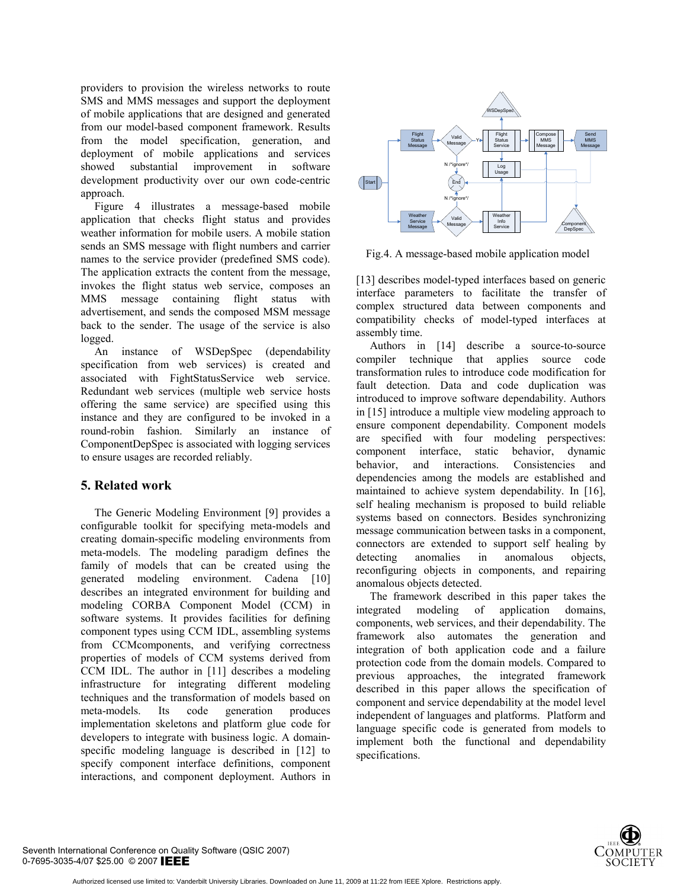providers to provision the wireless networks to route SMS and MMS messages and support the deployment of mobile applications that are designed and generated from our model-based component framework. Results from the model specification, generation, and deployment of mobile applications and services showed substantial improvement in software development productivity over our own code-centric approach.

Figure 4 illustrates a message-based mobile application that checks flight status and provides weather information for mobile users. A mobile station sends an SMS message with flight numbers and carrier names to the service provider (predefined SMS code). The application extracts the content from the message, invokes the flight status web service, composes an MMS message containing flight status with advertisement, and sends the composed MSM message back to the sender. The usage of the service is also logged.

An instance of WSDepSpec (dependability specification from web services) is created and associated with FightStatusService web service. Redundant web services (multiple web service hosts offering the same service) are specified using this instance and they are configured to be invoked in a round-robin fashion. Similarly an instance of ComponentDepSpec is associated with logging services to ensure usages are recorded reliably.

## 5. Related work

The Generic Modeling Environment [9] provides a configurable toolkit for specifying meta-models and creating domain-specific modeling environments from meta-models. The modeling paradigm defines the family of models that can be created using the generated modeling environment. Cadena [10] describes an integrated environment for building and modeling CORBA Component Model (CCM) in software systems. It provides facilities for defining component types using CCM IDL, assembling systems from CCMcomponents, and verifying correctness properties of models of CCM systems derived from CCM IDL. The author in [11] describes a modeling infrastructure for integrating different modeling techniques and the transformation of models based on meta-models. Its code generation produces implementation skeletons and platform glue code for developers to integrate with business logic. A domainspecific modeling language is described in [12] to specify component interface definitions, component interactions, and component deployment. Authors in



Fig.4. A message-based mobile application model

[13] describes model-typed interfaces based on generic interface parameters to facilitate the transfer of complex structured data between components and compatibility checks of model-typed interfaces at assembly time.

Authors in [14] describe a source-to-source compiler technique that applies source code transformation rules to introduce code modification for fault detection. Data and code duplication was introduced to improve software dependability. Authors in [15] introduce a multiple view modeling approach to ensure component dependability. Component models are specified with four modeling perspectives: component interface, static behavior, dynamic behavior, and interactions. Consistencies and dependencies among the models are established and maintained to achieve system dependability. In [16], self healing mechanism is proposed to build reliable systems based on connectors. Besides synchronizing message communication between tasks in a component, connectors are extended to support self healing by detecting anomalies in anomalous objects, reconfiguring objects in components, and repairing anomalous objects detected.

The framework described in this paper takes the integrated modeling of application domains, components, web services, and their dependability. The framework also automates the generation and integration of both application code and a failure protection code from the domain models. Compared to previous approaches, the integrated framework described in this paper allows the specification of component and service dependability at the model level independent of languages and platforms. Platform and language specific code is generated from models to implement both the functional and dependability specifications.